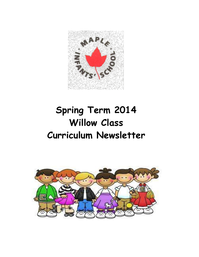

# **Spring Term 2014 Willow Class Curriculum Newsletter**

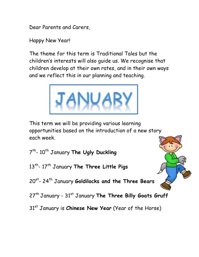Dear Parents and Carers,

Happy New Year!

The theme for this term is Traditional Tales but the children's interests will also guide us. We recognise that children develop at their own rates, and in their own ways and we reflect this in our planning and teaching.



This term we will be providing various learning opportunities based on the introduction of a new story each week.

7<sup>th</sup>- 10<sup>th</sup> January **The Ugly Duckling** 

13th - 17th January **The Three Little Pigs**

20st - 24th January **Goldilocks and the Three Bears**

27<sup>th</sup> January - 31<sup>st</sup> January The Three Billy Goats Gruff

31st January is **Chinese New Year** (Year of the Horse)

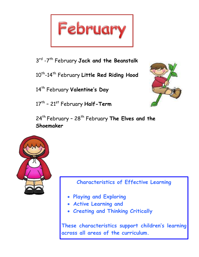

3 rd -7 th February **Jack and the Beanstalk**

10<sup>th</sup>-14<sup>th</sup> February **Little Red Riding Hood** 

14th February **Valentine's Day**

17<sup>th</sup> - 21<sup>st</sup> February **Half-Term** 



24<sup>th</sup> February - 28<sup>th</sup> February The Elves and the **Shoemaker**



**Characteristics of Effective Learning**

- **Playing and Exploring**
- **Active Learning and**
- **Creating and Thinking Critically**

**These characteristics support children's learning across all areas of the curriculum.**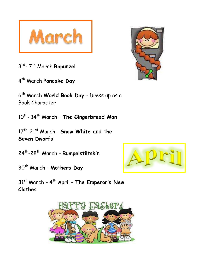

3<sup>rd</sup>- 7<sup>th</sup> March **Rapunzel** 

4 th March **Pancake Day**

6 th March **World Book Day** - Dress up as a Book Character

10<sup>th</sup>- 14<sup>th</sup> March - **The Gingerbread Man** 

17th -21st March - **Snow White and the Seven Dwarfs** 

24th -28th March - **Rumpelstiltskin**

30th March - **Mothers Day**

31st March – 4 th April – **The Emperor's New Clothes**



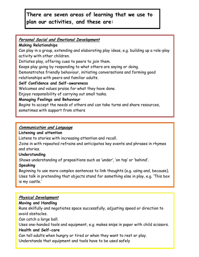# **There are seven areas of learning that we use to plan our activities, and these are:**

#### **Personal Social and Emotional Development**

#### **Making Relationships**

Can play in a group, extending and elaborating play ideas, e.g. building up a role-play activity with other children.

Initiates play, offering cues to peers to join them.

Keeps play going by responding to what others are saying or doing.

Demonstrates friendly behaviour, initiating conversations and forming good relationships with peers and familiar adults.

#### **Self Confidence and Self-awareness**

Welcomes and values praise for what they have done.

Enjoys responsibility of carrying out small tasks.

#### **Managing Feelings and Behaviour**

Begins to accept the needs of others and can take turns and share resources,

sometimes with support from others

#### **Communication and Language**

#### **Listening and attention**

Listens to stories with increasing attention and recall.

Joins in with repeated refrains and anticipates key events and phrases in rhymes and stories.

#### **Understanding**

Shows understanding of prepositions such as 'under', 'on top' or 'behind'.

## **Speaking**

Beginning to use more complex sentences to link thoughts (e.g. using and, because). Uses talk in pretending that objects stand for something else in play, e.g. 'This box is my castle.'

## **Physical Development**

## **Moving and Handling**

Runs skilfully and negotiates space successfully, adjusting speed or direction to avoid obstacles.

Can catch a large ball.

Uses one-handed tools and equipment, e.g. makes snips in paper with child scissors.

#### **Health and Self-care**

Can tell adults when hungry or tired or when they want to rest or play.

Understands that equipment and tools have to be used safely